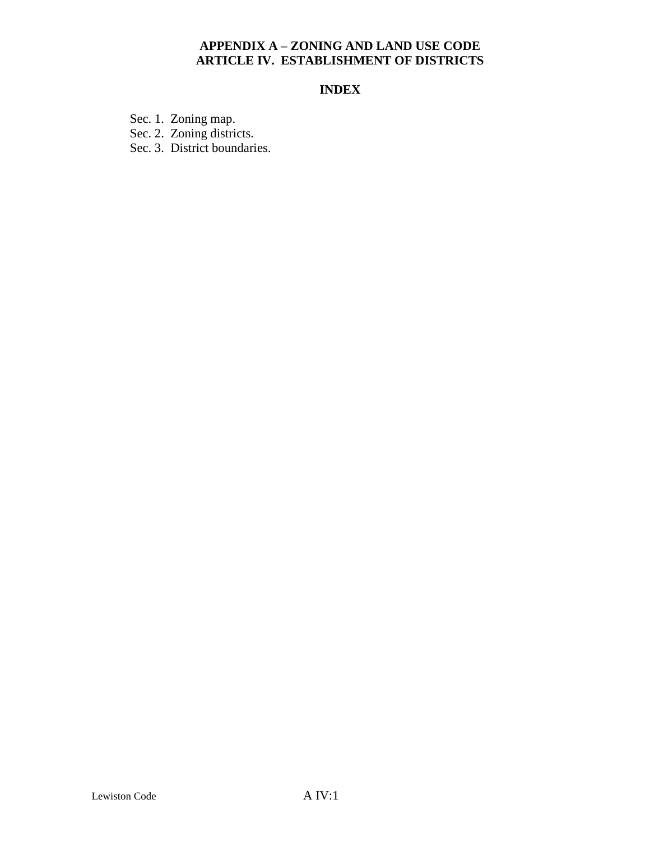## **APPENDIX A – ZONING AND LAND USE CODE ARTICLE IV. ESTABLISHMENT OF DISTRICTS**

# **INDEX**

Sec. 1. Zoning map.

Sec. 2. Zoning districts.

Sec. 3. District boundaries.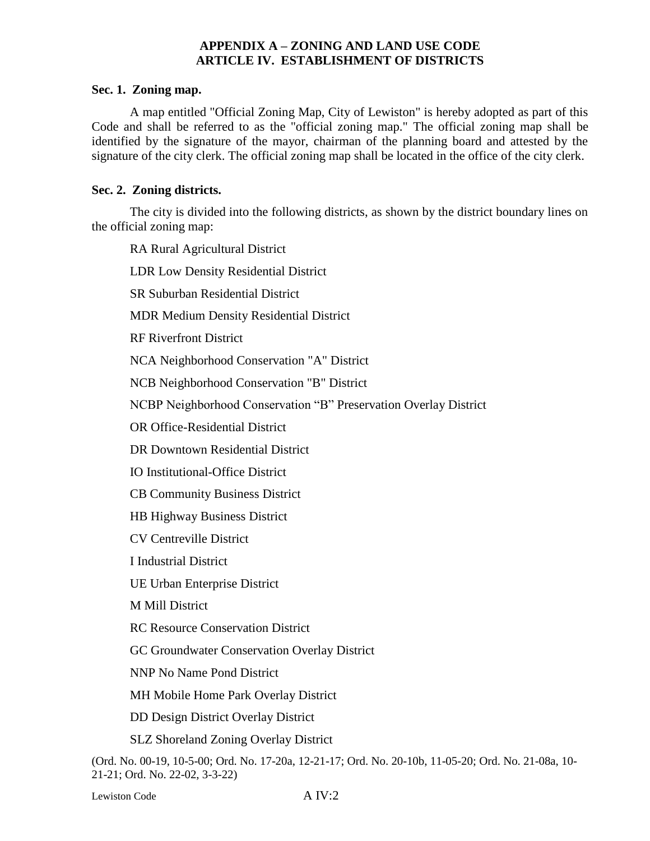## **APPENDIX A – ZONING AND LAND USE CODE ARTICLE IV. ESTABLISHMENT OF DISTRICTS**

#### **Sec. 1. Zoning map.**

A map entitled "Official Zoning Map, City of Lewiston" is hereby adopted as part of this Code and shall be referred to as the "official zoning map." The official zoning map shall be identified by the signature of the mayor, chairman of the planning board and attested by the signature of the city clerk. The official zoning map shall be located in the office of the city clerk.

### **Sec. 2. Zoning districts.**

The city is divided into the following districts, as shown by the district boundary lines on the official zoning map:

RA Rural Agricultural District

LDR Low Density Residential District

SR Suburban Residential District

MDR Medium Density Residential District

RF Riverfront District

NCA Neighborhood Conservation "A" District

NCB Neighborhood Conservation "B" District

NCBP Neighborhood Conservation "B" Preservation Overlay District

OR Office-Residential District

DR Downtown Residential District

IO Institutional-Office District

CB Community Business District

HB Highway Business District

CV Centreville District

I Industrial District

UE Urban Enterprise District

M Mill District

RC Resource Conservation District

GC Groundwater Conservation Overlay District

NNP No Name Pond District

MH Mobile Home Park Overlay District

DD Design District Overlay District

SLZ Shoreland Zoning Overlay District

(Ord. No. 00-19, 10-5-00; Ord. No. 17-20a, 12-21-17; Ord. No. 20-10b, 11-05-20; Ord. No. 21-08a, 10- 21-21; Ord. No. 22-02, 3-3-22)